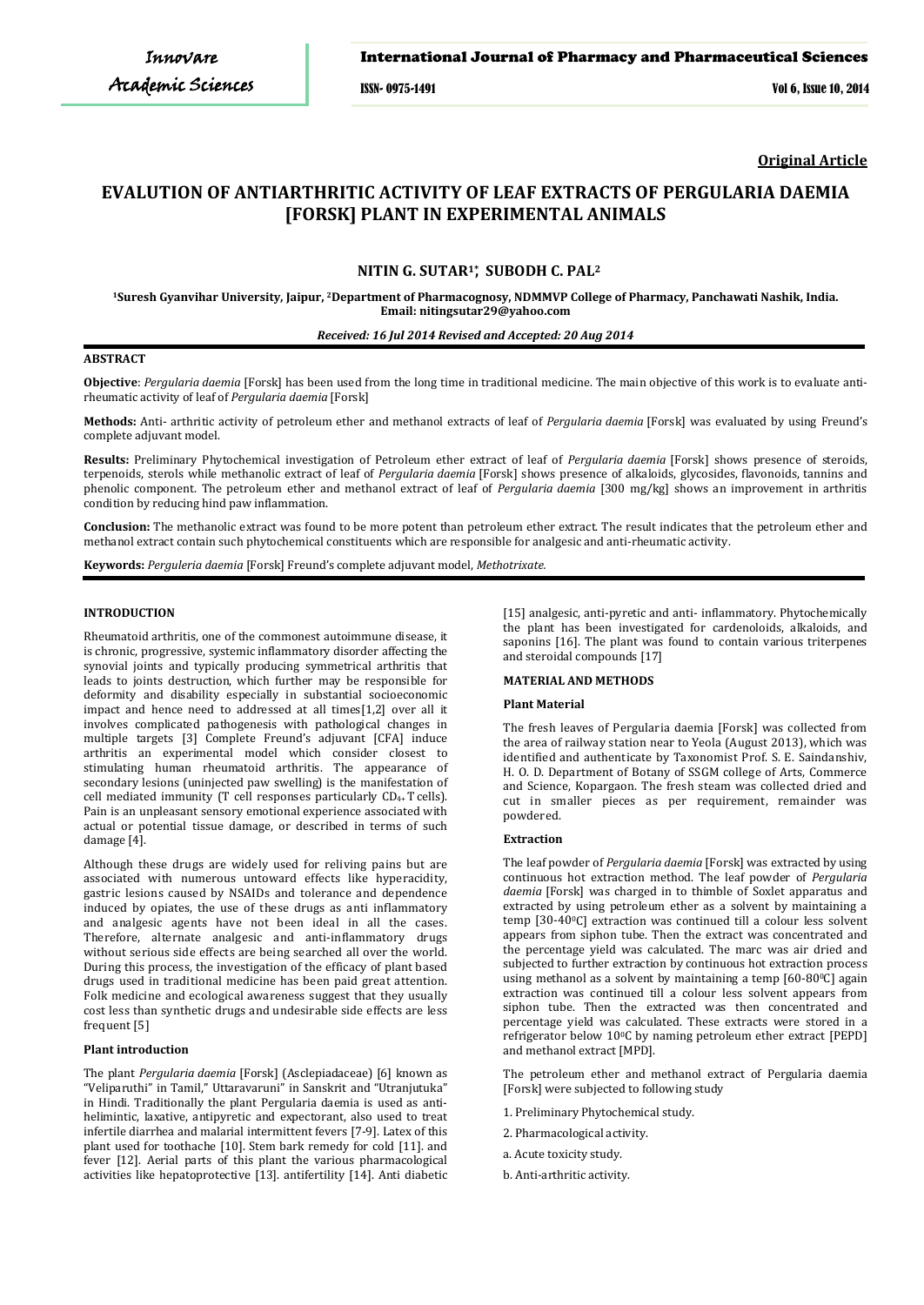## International Journal of Pharmacy and Pharmaceutical Sciences

ISSN- 0975-1491 Vol 6, Issue 10, 2014

**Original Article**

# **EVALUTION OF ANTIARTHRITIC ACTIVITY OF LEAF EXTRACTS OF PERGULARIA DAEMIA [FORSK] PLANT IN EXPERIMENTAL ANIMALS**

## **NITIN G. SUTAR1\* SUBODH C. PAL<sup>2</sup> ,**

**<sup>1</sup>Suresh Gyanvihar University, Jaipur, <sup>2</sup>Department of Pharmacognosy, NDMMVP College of Pharmacy, Panchawati Nashik, India. Email: nitingsutar29@yahoo.com**

## *Received: 16 Jul 2014 Revised and Accepted: 20 Aug 2014*

#### **ABSTRACT**

**Objective**: *Pergularia daemia* [Forsk] has been used from the long time in traditional medicine. The main objective of this work is to evaluate antirheumatic activity of leaf of *Pergularia daemia* [Forsk]

**Methods:** Anti- arthritic activity of petroleum ether and methanol extracts of leaf of *Pergularia daemia* [Forsk] was evaluated by using Freund's complete adjuvant model.

**Results:** Preliminary Phytochemical investigation of Petroleum ether extract of leaf of *Pergularia daemia* [Forsk] shows presence of steroids, terpenoids, sterols while methanolic extract of leaf of *Pergularia daemia* [Forsk] shows presence of alkaloids, glycosides, flavonoids, tannins and phenolic component. The petroleum ether and methanol extract of leaf of *Pergularia daemia* [300 mg/kg] shows an improvement in arthritis condition by reducing hind paw inflammation.

**Conclusion:** The methanolic extract was found to be more potent than petroleum ether extract. The result indicates that the petroleum ether and methanol extract contain such phytochemical constituents which are responsible for analgesic and anti-rheumatic activity.

**Keywords:** *Perguleria daemia* [Forsk] Freund's complete adjuvant model, *Methotrixate.*

#### **INTRODUCTION**

Rheumatoid arthritis, one of the commonest autoimmune disease, it is chronic, progressive, systemic inflammatory disorder affecting the synovial joints and typically producing symmetrical arthritis that leads to joints destruction, which further may be responsible for deformity and disability especially in substantial socioeconomic impact and hence need to addressed at all times[1,2] over all it involves complicated pathogenesis with pathological changes in multiple targets [3] Complete Freund's adjuvant [CFA] induce arthritis an experimental model which consider closest to stimulating human rheumatoid arthritis. The appearance of secondary lesions (uninjected paw swelling) is the manifestation of cell mediated immunity (T cell responses particularly  $CD_{4+}$  T cells). Pain is an unpleasant sensory emotional experience associated with actual or potential tissue damage, or described in terms of such damage [4].

Although these drugs are widely used for reliving pains but are associated with numerous untoward effects like hyperacidity, gastric lesions caused by NSAIDs and tolerance and dependence induced by opiates, the use of these drugs as anti inflammatory and analgesic agents have not been ideal in all the cases. Therefore, alternate analgesic and anti-inflammatory drugs without serious side effects are being searched all over the world. During this process, the investigation of the efficacy of plant based drugs used in traditional medicine has been paid great attention. Folk medicine and ecological awareness suggest that they usually cost less than synthetic drugs and undesirable side effects are less frequent [5]

## **Plant introduction**

The plant *Pergularia daemia* [Forsk] (Asclepiadaceae) [6] known as "Veliparuthi" in Tamil," Uttaravaruni" in Sanskrit and "Utranjutuka" in Hindi. Traditionally the plant Pergularia daemia is used as antihelimintic, laxative, antipyretic and expectorant, also used to treat infertile diarrhea and malarial intermittent fevers [7-9]. Latex of this plant used for toothache [10]. Stem bark remedy for cold [11]. and fever [12]. Aerial parts of this plant the various pharmacological activities like hepatoprotective [13]. antifertility [14]. Anti diabetic [15] analgesic, anti-pyretic and anti- inflammatory. Phytochemically the plant has been investigated for cardenoloids, alkaloids, and saponins [16]. The plant was found to contain various triterpenes and steroidal compounds [17]

## **MATERIAL AND METHODS**

## **Plant Material**

The fresh leaves of Pergularia daemia [Forsk] was collected from the area of railway station near to Yeola (August 2013), which was identified and authenticate by Taxonomist Prof. S. E. Saindanshiv, H. O. D. Department of Botany of SSGM college of Arts, Commerce and Science, Kopargaon. The fresh steam was collected dried and cut in smaller pieces as per requirement, remainder was powdered.

## **Extraction**

The leaf powder of *Pergularia daemia* [Forsk] was extracted by using continuous hot extraction method. The leaf powder of *Pergularia daemia* [Forsk] was charged in to thimble of Soxlet apparatus and extracted by using petroleum ether as a solvent by maintaining a temp [30-400C] extraction was continued till a colour less solvent appears from siphon tube. Then the extract was concentrated and the percentage yield was calculated. The marc was air dried and subjected to further extraction by continuous hot extraction process using methanol as a solvent by maintaining a temp [60-80°C] again extraction was continued till a colour less solvent appears from siphon tube. Then the extracted was then concentrated and percentage yield was calculated. These extracts were stored in a refrigerator below 10°C by naming petroleum ether extract [PEPD] and methanol extract [MPD].

The petroleum ether and methanol extract of Pergularia daemia [Forsk] were subjected to following study

- 1. Preliminary Phytochemical study.
- 2. Pharmacological activity.
- a. Acute toxicity study.
- b. Anti-arthritic activity.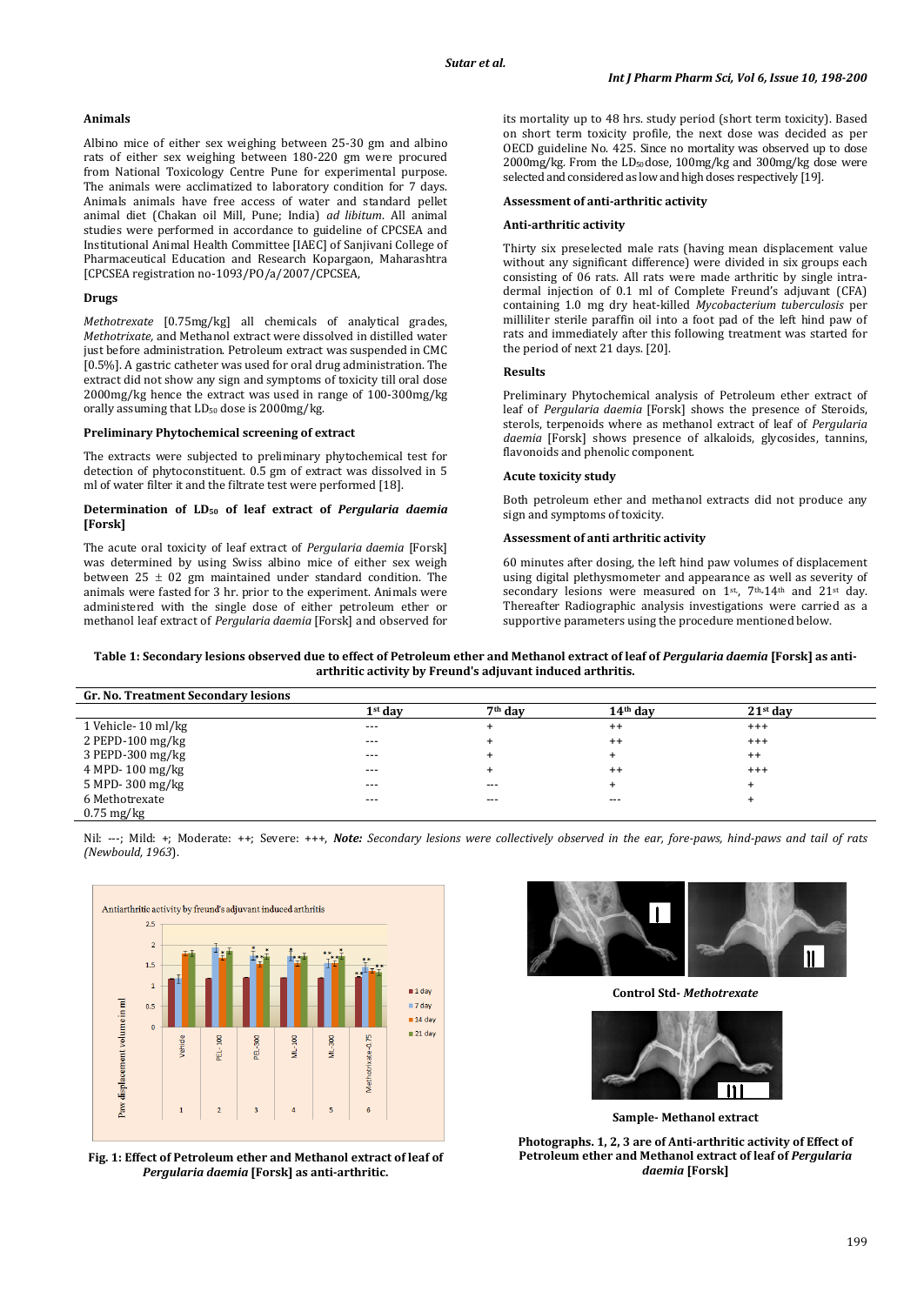## **Animals**

Albino mice of either sex weighing between 25-30 gm and albino rats of either sex weighing between 180-220 gm were procured from National Toxicology Centre Pune for experimental purpose. The animals were acclimatized to laboratory condition for 7 days. Animals animals have free access of water and standard pellet animal diet (Chakan oil Mill, Pune; India) *ad libitum*. All animal studies were performed in accordance to guideline of CPCSEA and Institutional Animal Health Committee [IAEC] of Sanjivani College of Pharmaceutical Education and Research Kopargaon, Maharashtra [CPCSEA registration no-1093/PO/a/2007/CPCSEA,

## **Drugs**

*Methotrexate* [0.75mg/kg] all chemicals of analytical grades, *Methotrixate,* and Methanol extract were dissolved in distilled water just before administration. Petroleum extract was suspended in CMC [0.5%]. A gastric catheter was used for oral drug administration. The extract did not show any sign and symptoms of toxicity till oral dose 2000mg/kg hence the extract was used in range of 100-300mg/kg orally assuming that  $LD_{50}$  dose is 2000mg/kg.

#### **Preliminary Phytochemical screening of extract**

The extracts were subjected to preliminary phytochemical test for detection of phytoconstituent. 0.5 gm of extract was dissolved in 5 ml of water filter it and the filtrate test were performed [18].

#### **Determination of LD50 of leaf extract of** *Pergularia daemia* **[Forsk]**

The acute oral toxicity of leaf extract of *Pergularia daemia* [Forsk] was determined by using Swiss albino mice of either sex weigh between  $25 \pm 02$  gm maintained under standard condition. The animals were fasted for 3 hr. prior to the experiment. Animals were administered with the single dose of either petroleum ether or methanol leaf extract of *Pergularia daemia* [Forsk] and observed for its mortality up to 48 hrs. study period (short term toxicity). Based on short term toxicity profile, the next dose was decided as per OECD guideline No. 425. Since no mortality was observed up to dose 2000mg/kg. From the LD50 dose, 100mg/kg and 300mg/kg dose were selected and considered as low and high doses respectively [19].

#### **Assessment of anti-arthritic activity**

#### **Anti-arthritic activity**

Thirty six preselected male rats (having mean displacement value without any significant difference) were divided in six groups each consisting of 06 rats. All rats were made arthritic by single intradermal injection of 0.1 ml of Complete Freund's adjuvant (CFA) containing 1.0 mg dry heat-killed *Mycobacterium tuberculosis* per milliliter sterile paraffin oil into a foot pad of the left hind paw of rats and immediately after this following treatment was started for the period of next 21 days. [20].

#### **Results**

Preliminary Phytochemical analysis of Petroleum ether extract of leaf of *Pergularia daemia* [Forsk] shows the presence of Steroids, sterols, terpenoids where as methanol extract of leaf of *Pergularia daemia* [Forsk] shows presence of alkaloids, glycosides, tannins, flavonoids and phenolic component.

#### **Acute toxicity study**

Both petroleum ether and methanol extracts did not produce any sign and symptoms of toxicity.

## **Assessment of anti arthritic activity**

60 minutes after dosing, the left hind paw volumes of displacement using digital plethysmometer and appearance as well as severity of secondary lesions were measured on  $1^{st}$ ,  $7^{th}$ ,  $14^{th}$  and  $21^{st}$  day. Thereafter Radiographic analysis investigations were carried as a supportive parameters using the procedure mentioned below.

**Table 1: Secondary lesions observed due to effect of Petroleum ether and Methanol extract of leaf of** *Pergularia daemia* **[Forsk] as antiarthritic activity by Freund's adjuvant induced arthritis.**

| Gr. No. Treatment Secondary lesions |           |                     |            |            |  |
|-------------------------------------|-----------|---------------------|------------|------------|--|
|                                     | $1st$ dav | 7 <sup>th</sup> day | $14th$ dav | $21st$ dav |  |
| 1 Vehicle-10 ml/kg                  | $---$     |                     | $^{++}$    | $^{+++}$   |  |
| $2$ PEPD-100 mg/kg                  | $---$     |                     | $^{++}$    | $^{+++}$   |  |
| $3$ PEPD-300 mg/kg                  | $---$     |                     | ÷          | $^{++}$    |  |
| $4 \text{ MPD} - 100 \text{ mg/kg}$ | $---$     |                     | $^{++}$    | $^{+++}$   |  |
| 5 MPD-300 mg/kg                     | $---$     | $---$               |            |            |  |
| 6 Methotrexate                      | $---$     | $---$               | $---$      |            |  |
| $0.75 \text{ mg/kg}$                |           |                     |            |            |  |

Nil: ---; Mild: +; Moderate: ++; Severe: +++, *Note: Secondary lesions were collectively observed in the ear, fore-paws, hind-paws and tail of rats (Newbould, 1963*).



**Fig. 1: Effect of Petroleum ether and Methanol extract of leaf of**  *Pergularia daemia* **[Forsk] as anti-arthritic.**



**Control Std-** *Methotrexate*



**Sample- Methanol extract**

**Photographs. 1, 2, 3 are of Anti-arthritic activity of Effect of Petroleum ether and Methanol extract of leaf of** *Pergularia daemia* **[Forsk]**